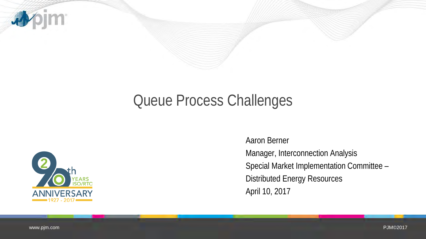

## Queue Process Challenges



Aaron Berner Manager, Interconnection Analysis Special Market Implementation Committee – Distributed Energy Resources April 10, 2017

www.pjm.com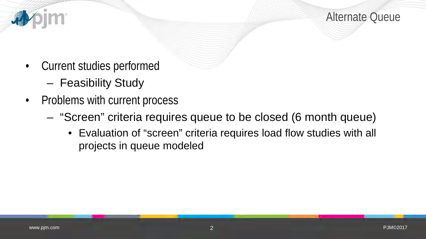Alternate Queue

- Current studies performed
	- Feasibility Study
- Problems with current process
	- "Screen" criteria requires queue to be closed (6 month queue)
		- Evaluation of "screen" criteria requires load flow studies with all projects in queue modeled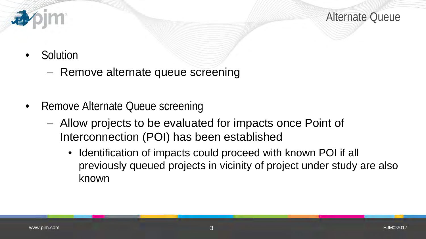

Alternate Queue

- Solution
	- Remove alternate queue screening
- Remove Alternate Queue screening
	- Allow projects to be evaluated for impacts once Point of Interconnection (POI) has been established
		- Identification of impacts could proceed with known POI if all previously queued projects in vicinity of project under study are also known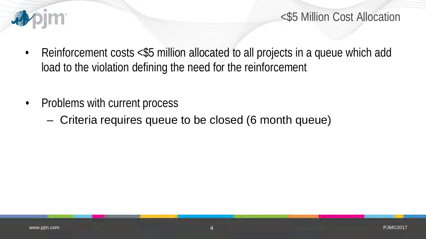

- Reinforcement costs <\$5 million allocated to all projects in a queue which add load to the violation defining the need for the reinforcement
- Problems with current process
	- Criteria requires queue to be closed (6 month queue)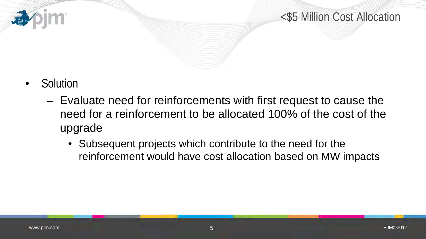



- Solution
	- Evaluate need for reinforcements with first request to cause the need for a reinforcement to be allocated 100% of the cost of the upgrade
		- Subsequent projects which contribute to the need for the reinforcement would have cost allocation based on MW impacts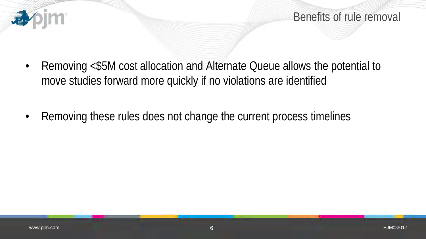

Benefits of rule removal

- Removing <\$5M cost allocation and Alternate Queue allows the potential to move studies forward more quickly if no violations are identified
- Removing these rules does not change the current process timelines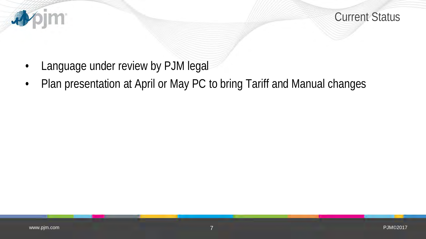

Current Status

- Language under review by PJM legal
- Plan presentation at April or May PC to bring Tariff and Manual changes